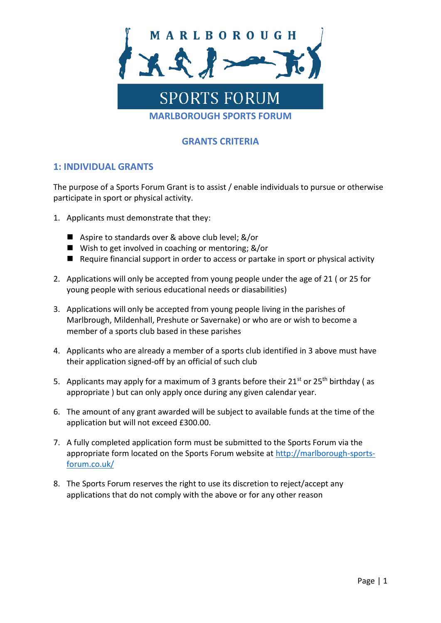

## **GRANTS CRITERIA**

## **1: INDIVIDUAL GRANTS**

The purpose of a Sports Forum Grant is to assist / enable individuals to pursue or otherwise participate in sport or physical activity.

- 1. Applicants must demonstrate that they:
	- Aspire to standards over & above club level; &/or
	- Wish to get involved in coaching or mentoring; &/or
	- Require financial support in order to access or partake in sport or physical activity
- 2. Applications will only be accepted from young people under the age of 21 ( or 25 for young people with serious educational needs or diasabilities)
- 3. Applications will only be accepted from young people living in the parishes of Marlbrough, Mildenhall, Preshute or Savernake) or who are or wish to become a member of a sports club based in these parishes
- 4. Applicants who are already a member of a sports club identified in 3 above must have their application signed-off by an official of such club
- 5. Applicants may apply for a maximum of 3 grants before their  $21^{st}$  or  $25^{th}$  birthday (as appropriate ) but can only apply once during any given calendar year.
- 6. The amount of any grant awarded will be subject to available funds at the time of the application but will not exceed £300.00.
- 7. A fully completed application form must be submitted to the Sports Forum via the appropriate form located on the Sports Forum website at [http://marlborough-sports](http://marlborough-sports-forum.co.uk/)[forum.co.uk/](http://marlborough-sports-forum.co.uk/)
- 8. The Sports Forum reserves the right to use its discretion to reject/accept any applications that do not comply with the above or for any other reason